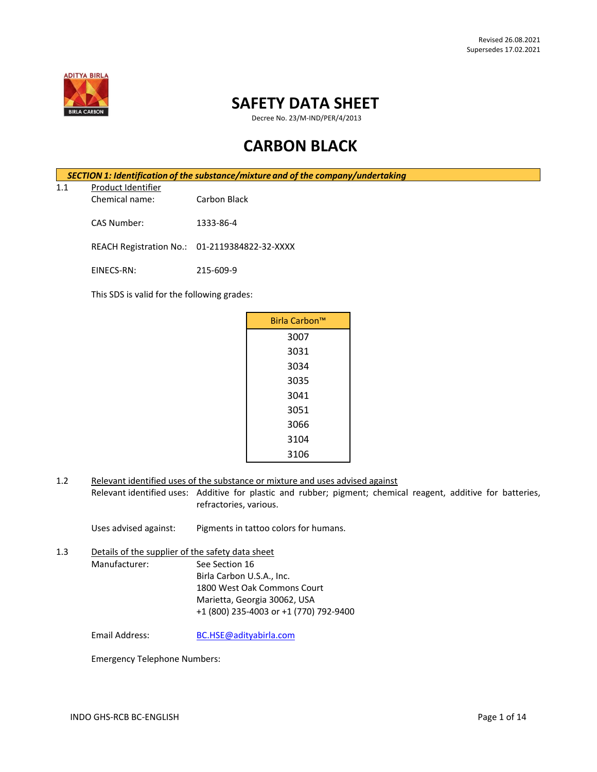

# **SAFETY DATA SHEET**

Decree No. 23/M-IND/PER/4/2013

# **CARBON BLACK**

*SECTION 1: Identification of the substance/mixture and of the company/undertaking*

1.1 Product Identifier Chemical name: Carbon Black

CAS Number: 1333-86-4

REACH Registration No.: 01-2119384822-32-XXXX

EINECS-RN: 215-609-9

This SDS is valid for the following grades:

| Birla Carbon™ |  |
|---------------|--|
| 3007          |  |
| 3031          |  |
| 3034          |  |
| 3035          |  |
| 3041          |  |
| 3051          |  |
| 3066          |  |
| 3104          |  |
| 3106          |  |

1.2 Relevant identified uses of the substance or mixture and uses advised against Relevant identified uses: Additive for plastic and rubber; pigment; chemical reagent, additive for batteries, refractories, various.

Uses advised against: Pigments in tattoo colors for humans.

1.3 Details of the supplier of the safety data sheet Manufacturer: See Section 16 Birla Carbon U.S.A., Inc. 1800 West Oak Commons Court Marietta, Georgia 30062, USA +1 (800) 235-4003 or +1 (770) 792-9400

Email Address: [BC.HSE@adityabirla.com](mailto:BC.HSE@adityabirla.com)

Emergency Telephone Numbers: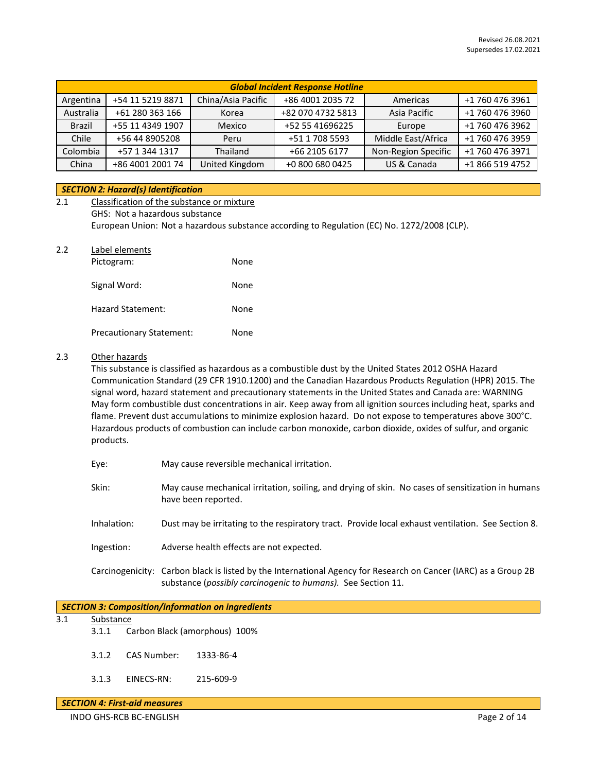| <b>Global Incident Response Hotline</b> |                  |                    |                   |                     |                 |
|-----------------------------------------|------------------|--------------------|-------------------|---------------------|-----------------|
| Argentina                               | +54 11 5219 8871 | China/Asia Pacific | +86 4001 2035 72  | Americas            | +1 760 476 3961 |
| Australia                               | +61 280 363 166  | Korea              | +82 070 4732 5813 | Asia Pacific        | +1 760 476 3960 |
| <b>Brazil</b>                           | +55 11 4349 1907 | Mexico             | +52 55 41696225   | Europe              | +1 760 476 3962 |
| Chile                                   | +56 44 8905208   | Peru               | +51 1 708 5593    | Middle East/Africa  | +1 760 476 3959 |
| Colombia                                | +57 1 344 1317   | Thailand           | +66 2105 6177     | Non-Region Specific | +1 760 476 3971 |
| China                                   | +86 4001 2001 74 | United Kingdom     | +0 800 680 0425   | US & Canada         | +1 866 519 4752 |

# *SECTION 2: Hazard(s) Identification*

| 2.1 | Classification of the substance or mixture                                                  |
|-----|---------------------------------------------------------------------------------------------|
|     | GHS: Not a hazardous substance                                                              |
|     | European Union: Not a hazardous substance according to Regulation (EC) No. 1272/2008 (CLP). |
| 2.2 | Label elements                                                                              |

| Pictogram:                      | None |
|---------------------------------|------|
| Signal Word:                    | None |
| Hazard Statement:               | None |
| <b>Precautionary Statement:</b> | None |

# 2.3 Other hazards

This substance is classified as hazardous as a combustible dust by the United States 2012 OSHA Hazard Communication Standard (29 CFR 1910.1200) and the Canadian Hazardous Products Regulation (HPR) 2015. The signal word, hazard statement and precautionary statements in the United States and Canada are: WARNING May form combustible dust concentrations in air. Keep away from all ignition sources including heat, sparks and flame. Prevent dust accumulations to minimize explosion hazard. Do not expose to temperatures above 300°C. Hazardous products of combustion can include carbon monoxide, carbon dioxide, oxides of sulfur, and organic products.

| Eye: |  | May cause reversible mechanical irritation. |  |
|------|--|---------------------------------------------|--|
|      |  |                                             |  |

- Skin: May cause mechanical irritation, soiling, and drying of skin. No cases of sensitization in humans have been reported.
- Inhalation: Dust may be irritating to the respiratory tract. Provide local exhaust ventilation. See Section 8.
- Ingestion: Adverse health effects are not expected.
- Carcinogenicity: Carbon black is listed by the International Agency for Research on Cancer (IARC) as a Group 2B substance (*possibly carcinogenic to humans).* See Section 11.

#### *SECTION 3: Composition/information on ingredients*

#### 3.1 Substance

- 3.1.1 Carbon Black (amorphous) 100%
- 3.1.2 CAS Number: 1333-86-4
- 3.1.3 EINECS-RN: 215-609-9

# *SECTION 4: First-aid measures*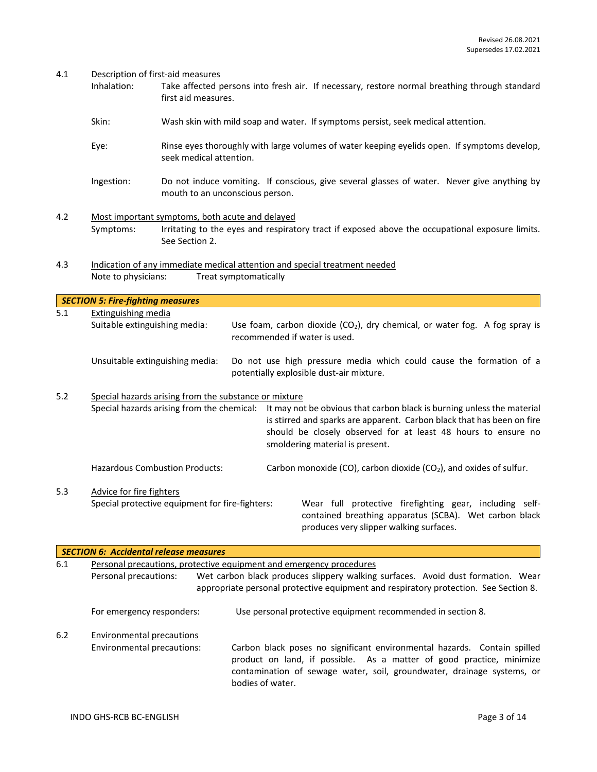|  | 4.1 | Description of first-aid measures |
|--|-----|-----------------------------------|
|--|-----|-----------------------------------|

- Inhalation: Take affected persons into fresh air. If necessary, restore normal breathing through standard first aid measures.
- Skin: Wash skin with mild soap and water. If symptoms persist, seek medical attention.
- Eye: Rinse eyes thoroughly with large volumes of water keeping eyelids open. If symptoms develop, seek medical attention.
- Ingestion: Do not induce vomiting. If conscious, give several glasses of water. Never give anything by mouth to an unconscious person.
- 4.2 Most important symptoms, both acute and delayed Symptoms: Irritating to the eyes and respiratory tract if exposed above the occupational exposure limits. See Section 2.
- 4.3 Indication of any immediate medical attention and special treatment needed Note to physicians: Treat symptomatically

|     | <b>SECTION 5: Fire-fighting measures</b>                                                            |                                                                                                                                                                                                                                                      |
|-----|-----------------------------------------------------------------------------------------------------|------------------------------------------------------------------------------------------------------------------------------------------------------------------------------------------------------------------------------------------------------|
| 5.1 | Extinguishing media<br>Suitable extinguishing media:                                                | Use foam, carbon dioxide $(CO2)$ , dry chemical, or water fog. A fog spray is<br>recommended if water is used.                                                                                                                                       |
|     | Unsuitable extinguishing media:                                                                     | Do not use high pressure media which could cause the formation of a<br>potentially explosible dust-air mixture.                                                                                                                                      |
| 5.2 | Special hazards arising from the substance or mixture<br>Special hazards arising from the chemical: | It may not be obvious that carbon black is burning unless the material<br>is stirred and sparks are apparent. Carbon black that has been on fire<br>should be closely observed for at least 48 hours to ensure no<br>smoldering material is present. |
|     | <b>Hazardous Combustion Products:</b>                                                               | Carbon monoxide (CO), carbon dioxide (CO <sub>2</sub> ), and oxides of sulfur.                                                                                                                                                                       |
| 5.3 | Advice for fire fighters<br>Special protective equipment for fire-fighters:                         | Wear full protective firefighting gear, including self-<br>contained breathing apparatus (SCBA). Wet carbon black<br>produces very slipper walking surfaces.                                                                                         |

|                                                                            | <b>SECTION 6: Accidental release measures</b> |                                                                                                                                                                                                                                                |
|----------------------------------------------------------------------------|-----------------------------------------------|------------------------------------------------------------------------------------------------------------------------------------------------------------------------------------------------------------------------------------------------|
| 6.1<br>Personal precautions, protective equipment and emergency procedures |                                               |                                                                                                                                                                                                                                                |
|                                                                            | Personal precautions:                         | Wet carbon black produces slippery walking surfaces. Avoid dust formation. Wear<br>appropriate personal protective equipment and respiratory protection. See Section 8.                                                                        |
|                                                                            | For emergency responders:                     | Use personal protective equipment recommended in section 8.                                                                                                                                                                                    |
| 6.2                                                                        | Environmental precautions                     |                                                                                                                                                                                                                                                |
|                                                                            | Environmental precautions:                    | Carbon black poses no significant environmental hazards. Contain spilled<br>product on land, if possible. As a matter of good practice, minimize<br>contamination of sewage water, soil, groundwater, drainage systems, or<br>bodies of water. |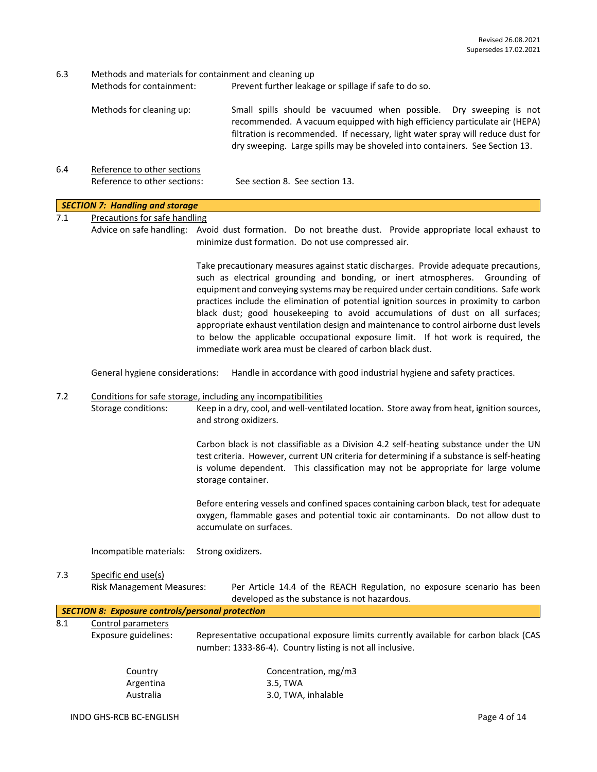6.3 Methods and materials for containment and cleaning up

Methods for containment: Prevent further leakage or spillage if safe to do so.

- Methods for cleaning up: Small spills should be vacuumed when possible. Dry sweeping is not recommended. A vacuum equipped with high efficiency particulate air (HEPA) filtration is recommended. If necessary, light water spray will reduce dust for dry sweeping. Large spills may be shoveled into containers. See Section 13.
- 6.4 Reference to other sections Reference to other sections: See section 8. See section 13.

# *SECTION 7: Handling and storage*

7.1 Precautions for safe handling

Advice on safe handling: Avoid dust formation. Do not breathe dust. Provide appropriate local exhaust to minimize dust formation. Do not use compressed air.

> Take precautionary measures against static discharges. Provide adequate precautions, such as electrical grounding and bonding, or inert atmospheres. Grounding of equipment and conveying systems may be required under certain conditions. Safe work practices include the elimination of potential ignition sources in proximity to carbon black dust; good housekeeping to avoid accumulations of dust on all surfaces; appropriate exhaust ventilation design and maintenance to control airborne dust levels to below the applicable occupational exposure limit. If hot work is required, the immediate work area must be cleared of carbon black dust.

General hygiene considerations: Handle in accordance with good industrial hygiene and safety practices.

# 7.2 Conditions for safe storage, including any incompatibilities

Storage conditions: Keep in a dry, cool, and well-ventilated location. Store away from heat, ignition sources, and strong oxidizers.

> Carbon black is not classifiable as a Division 4.2 self-heating substance under the UN test criteria. However, current UN criteria for determining if a substance is self-heating is volume dependent. This classification may not be appropriate for large volume storage container.

> Before entering vessels and confined spaces containing carbon black, test for adequate oxygen, flammable gases and potential toxic air contaminants. Do not allow dust to accumulate on surfaces.

Incompatible materials: Strong oxidizers.

# 7.3 Specific end use(s)

Risk Management Measures: Per Article 14.4 of the REACH Regulation, no exposure scenario has been developed as the substance is not hazardous.

# *SECTION 8: Exposure controls/personal protection*

## 8.1 Control parameters

Exposure guidelines: Representative occupational exposure limits currently available for carbon black (CAS number: 1333-86-4). Country listing is not all inclusive.

Concentration, mg/m3 3.5, TWA 3.0, TWA, inhalable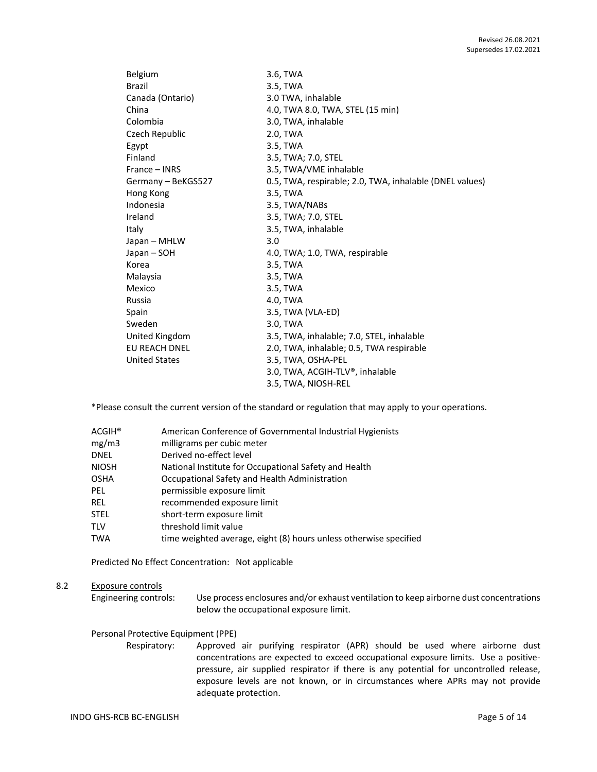| Belgium              | 3.6, TWA                                                |
|----------------------|---------------------------------------------------------|
| <b>Brazil</b>        | 3.5, TWA                                                |
| Canada (Ontario)     | 3.0 TWA, inhalable                                      |
| China                | 4.0, TWA 8.0, TWA, STEL (15 min)                        |
| Colombia             | 3.0, TWA, inhalable                                     |
| Czech Republic       | 2.0, TWA                                                |
| Egypt                | 3.5, TWA                                                |
| Finland              | 3.5, TWA; 7.0, STEL                                     |
| France – INRS        | 3.5, TWA/VME inhalable                                  |
| Germany - BeKGS527   | 0.5, TWA, respirable; 2.0, TWA, inhalable (DNEL values) |
| Hong Kong            | 3.5, TWA                                                |
| Indonesia            | 3.5, TWA/NABs                                           |
| Ireland              | 3.5, TWA; 7.0, STEL                                     |
| Italy                | 3.5, TWA, inhalable                                     |
| Japan – MHLW         | 3.0                                                     |
| Japan – SOH          | 4.0, TWA; 1.0, TWA, respirable                          |
| Korea                | 3.5, TWA                                                |
| Malaysia             | 3.5, TWA                                                |
| Mexico               | 3.5, TWA                                                |
| Russia               | 4.0, TWA                                                |
| Spain                | 3.5, TWA (VLA-ED)                                       |
| Sweden               | 3.0, TWA                                                |
| United Kingdom       | 3.5, TWA, inhalable; 7.0, STEL, inhalable               |
| <b>EU REACH DNEL</b> | 2.0, TWA, inhalable; 0.5, TWA respirable                |
| <b>United States</b> | 3.5, TWA, OSHA-PEL                                      |
|                      | 3.0, TWA, ACGIH-TLV®, inhalable                         |
|                      | 3.5, TWA, NIOSH-REL                                     |
|                      |                                                         |

\*Please consult the current version of the standard or regulation that may apply to your operations.

| $\mathsf{ACGIH}^\circledast$ | American Conference of Governmental Industrial Hygienists         |
|------------------------------|-------------------------------------------------------------------|
| mg/m3                        | milligrams per cubic meter                                        |
| DNEL                         | Derived no-effect level                                           |
| NIOSH                        | National Institute for Occupational Safety and Health             |
| OSHA                         | Occupational Safety and Health Administration                     |
| PEL                          | permissible exposure limit                                        |
| rel                          | recommended exposure limit                                        |
| STEL                         | short-term exposure limit                                         |
| TLV                          | threshold limit value                                             |
| TWA                          | time weighted average, eight (8) hours unless otherwise specified |
|                              |                                                                   |

Predicted No Effect Concentration: Not applicable

# 8.2 Exposure controls

Engineering controls: Use process enclosures and/or exhaust ventilation to keep airborne dust concentrations below the occupational exposure limit.

#### Personal Protective Equipment (PPE)

Respiratory: Approved air purifying respirator (APR) should be used where airborne dust concentrations are expected to exceed occupational exposure limits. Use a positivepressure, air supplied respirator if there is any potential for uncontrolled release, exposure levels are not known, or in circumstances where APRs may not provide adequate protection.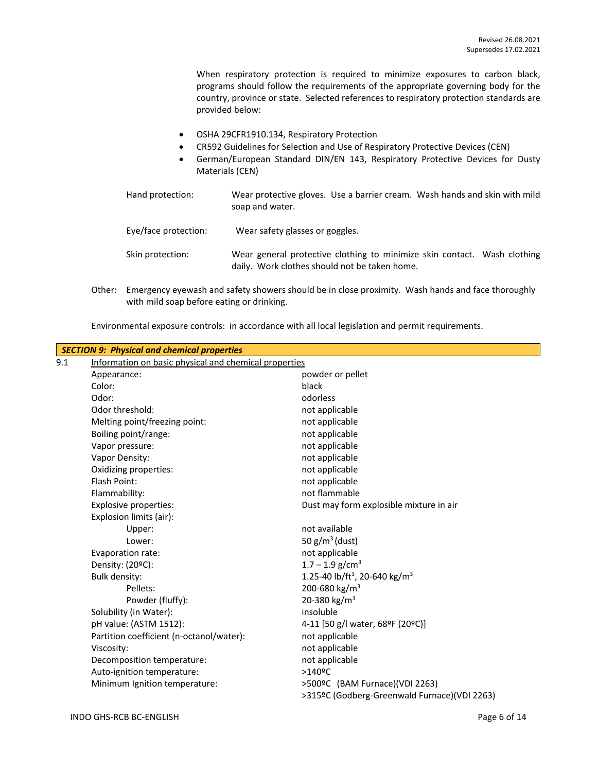When respiratory protection is required to minimize exposures to carbon black, programs should follow the requirements of the appropriate governing body for the country, province or state. Selected references to respiratory protection standards are provided below:

- OSHA 29CFR1910.134, Respiratory Protection
- CR592 Guidelines for Selection and Use of Respiratory Protective Devices (CEN)
- German/European Standard DIN/EN 143, Respiratory Protective Devices for Dusty Materials (CEN)
- Hand protection: Wear protective gloves. Use a barrier cream. Wash hands and skin with mild soap and water. Eye/face protection: Wear safety glasses or goggles. Skin protection: Wear general protective clothing to minimize skin contact. Wash clothing daily. Work clothes should not be taken home.
- Other: Emergency eyewash and safety showers should be in close proximity. Wash hands and face thoroughly with mild soap before eating or drinking.

Environmental exposure controls: in accordance with all local legislation and permit requirements.

|     | <b>SECTION 9: Physical and chemical properties</b>    |                                                       |
|-----|-------------------------------------------------------|-------------------------------------------------------|
| 9.1 | Information on basic physical and chemical properties |                                                       |
|     | Appearance:                                           | powder or pellet                                      |
|     | Color:                                                | black                                                 |
|     | Odor:                                                 | odorless                                              |
|     | Odor threshold:                                       | not applicable                                        |
|     | Melting point/freezing point:                         | not applicable                                        |
|     | Boiling point/range:                                  | not applicable                                        |
|     | Vapor pressure:                                       | not applicable                                        |
|     | Vapor Density:                                        | not applicable                                        |
|     | Oxidizing properties:                                 | not applicable                                        |
|     | Flash Point:                                          | not applicable                                        |
|     | Flammability:                                         | not flammable                                         |
|     | Explosive properties:                                 | Dust may form explosible mixture in air               |
|     | Explosion limits (air):                               |                                                       |
|     | Upper:                                                | not available                                         |
|     | Lower:                                                | 50 $g/m^3$ (dust)                                     |
|     | Evaporation rate:                                     | not applicable                                        |
|     | Density: (20°C):                                      | $1.7 - 1.9$ g/cm <sup>3</sup>                         |
|     | Bulk density:                                         | 1.25-40 lb/ft <sup>3</sup> , 20-640 kg/m <sup>3</sup> |
|     | Pellets:                                              | 200-680 kg/m <sup>3</sup>                             |
|     | Powder (fluffy):                                      | 20-380 kg/m <sup>3</sup>                              |
|     | Solubility (in Water):                                | insoluble                                             |
|     | pH value: (ASTM 1512):                                | 4-11 [50 g/l water, 68ºF (20ºC)]                      |
|     | Partition coefficient (n-octanol/water):              | not applicable                                        |
|     | Viscosity:                                            | not applicable                                        |
|     | Decomposition temperature:                            | not applicable                                        |
|     | Auto-ignition temperature:                            | $>140$ <sup>o</sup> C                                 |
|     | Minimum Ignition temperature:                         | >500ºC (BAM Furnace)(VDI 2263)                        |
|     |                                                       | >315ºC (Godberg-Greenwald Furnace)(VDI 2263)          |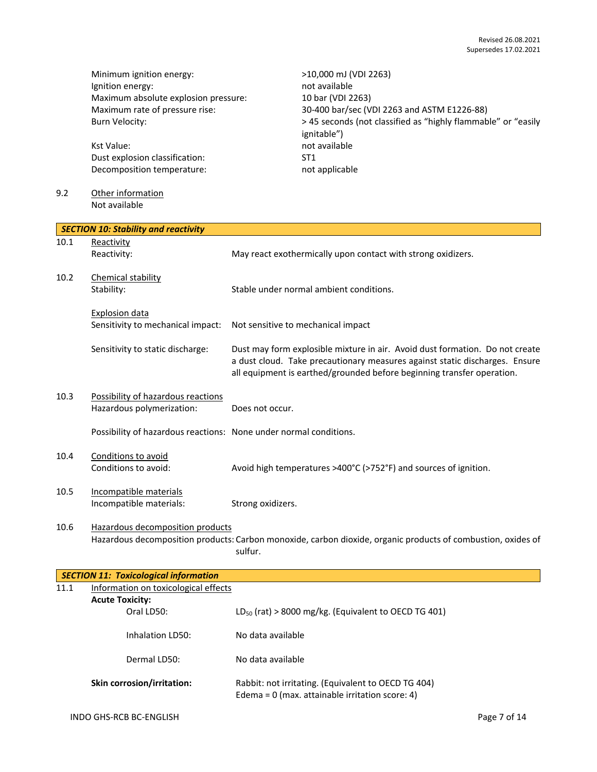Minimum ignition energy:<br>
lgnition energy:<br>
not available<br>
not available Ignition energy: Maximum absolute explosion pressure: 10 bar (VDI 2263)

Kst Value: not available Dust explosion classification: ST1 Decomposition temperature: not applicable

# 9.2 Other information Not available

Maximum rate of pressure rise: 30-400 bar/sec (VDI 2263 and ASTM E1226-88) Burn Velocity:  $> 45$  seconds (not classified as "highly flammable" or "easily ignitable")

|      | <b>SECTION 10: Stability and reactivity</b>                       |                                                                                                                                                                                                                                       |
|------|-------------------------------------------------------------------|---------------------------------------------------------------------------------------------------------------------------------------------------------------------------------------------------------------------------------------|
| 10.1 | Reactivity                                                        |                                                                                                                                                                                                                                       |
|      | Reactivity:                                                       | May react exothermically upon contact with strong oxidizers.                                                                                                                                                                          |
| 10.2 | Chemical stability                                                |                                                                                                                                                                                                                                       |
|      | Stability:                                                        | Stable under normal ambient conditions.                                                                                                                                                                                               |
|      | <b>Explosion data</b>                                             |                                                                                                                                                                                                                                       |
|      | Sensitivity to mechanical impact:                                 | Not sensitive to mechanical impact                                                                                                                                                                                                    |
|      | Sensitivity to static discharge:                                  | Dust may form explosible mixture in air. Avoid dust formation. Do not create<br>a dust cloud. Take precautionary measures against static discharges. Ensure<br>all equipment is earthed/grounded before beginning transfer operation. |
| 10.3 | Possibility of hazardous reactions                                |                                                                                                                                                                                                                                       |
|      | Hazardous polymerization:                                         | Does not occur.                                                                                                                                                                                                                       |
|      | Possibility of hazardous reactions: None under normal conditions. |                                                                                                                                                                                                                                       |
| 10.4 | Conditions to avoid                                               |                                                                                                                                                                                                                                       |
|      | Conditions to avoid:                                              | Avoid high temperatures >400°C (>752°F) and sources of ignition.                                                                                                                                                                      |
| 10.5 | Incompatible materials                                            |                                                                                                                                                                                                                                       |
|      | Incompatible materials:                                           | Strong oxidizers.                                                                                                                                                                                                                     |
| 10.6 | Hazardous decomposition products                                  |                                                                                                                                                                                                                                       |
|      |                                                                   | Hazardous decomposition products: Carbon monoxide, carbon dioxide, organic products of combustion, oxides of                                                                                                                          |

sulfur.

|                        | <b>SECTION 11: Toxicological information</b> |                                                                                                          |  |  |  |  |  |
|------------------------|----------------------------------------------|----------------------------------------------------------------------------------------------------------|--|--|--|--|--|
| 11.1                   | Information on toxicological effects         |                                                                                                          |  |  |  |  |  |
| <b>Acute Toxicity:</b> |                                              |                                                                                                          |  |  |  |  |  |
| Oral LD50:             |                                              | $LD_{50}$ (rat) > 8000 mg/kg. (Equivalent to OECD TG 401)                                                |  |  |  |  |  |
| Inhalation LD50:       |                                              | No data available                                                                                        |  |  |  |  |  |
|                        | Dermal LD50:                                 | No data available                                                                                        |  |  |  |  |  |
|                        | <b>Skin corrosion/irritation:</b>            | Rabbit: not irritating. (Equivalent to OECD TG 404)<br>Edema = $0$ (max. attainable irritation score: 4) |  |  |  |  |  |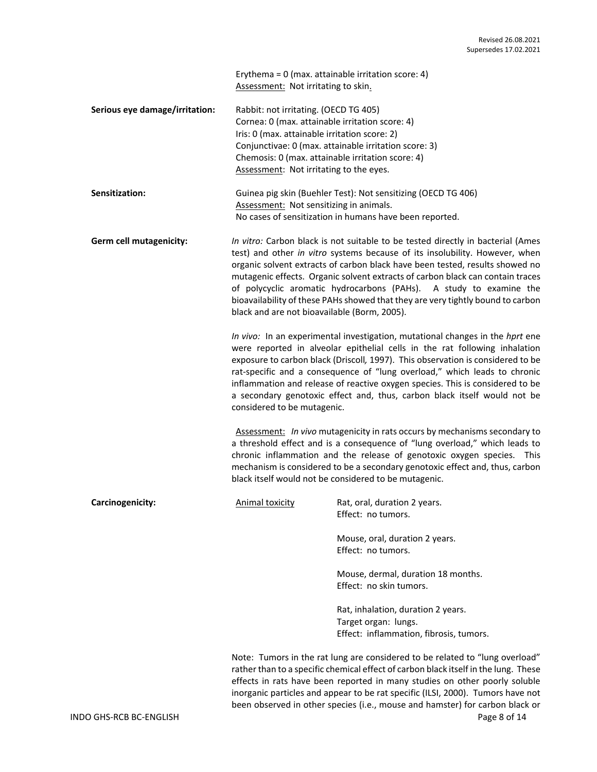Erythema = 0 (max. attainable irritation score: 4) Assessment: Not irritating to skin.

| Serious eye damage/irritation: | Rabbit: not irritating. (OECD TG 405)                 |
|--------------------------------|-------------------------------------------------------|
|                                | Cornea: 0 (max. attainable irritation score: 4)       |
|                                | Iris: 0 (max. attainable irritation score: 2)         |
|                                | Conjunctivae: 0 (max. attainable irritation score: 3) |
|                                | Chemosis: 0 (max. attainable irritation score: 4)     |
|                                | Assessment: Not irritating to the eyes.               |

| <b>Sensitization:</b> | Guinea pig skin (Buehler Test): Not sensitizing (OECD TG 406) |
|-----------------------|---------------------------------------------------------------|
|                       | Assessment: Not sensitizing in animals.                       |
|                       | No cases of sensitization in humans have been reported.       |

**Germ cell mutagenicity:** *In vitro:* Carbon black is not suitable to be tested directly in bacterial (Ames test) and other *in vitro* systems because of its insolubility. However, when organic solvent extracts of carbon black have been tested, results showed no mutagenic effects. Organic solvent extracts of carbon black can contain traces of polycyclic aromatic hydrocarbons (PAHs). A study to examine the bioavailability of these PAHs showed that they are very tightly bound to carbon black and are not bioavailable (Borm, 2005).

> *In vivo:* In an experimental investigation, mutational changes in the *hprt* ene were reported in alveolar epithelial cells in the rat following inhalation exposure to carbon black (Driscoll*,* 1997). This observation is considered to be rat-specific and a consequence of "lung overload," which leads to chronic inflammation and release of reactive oxygen species. This is considered to be a secondary genotoxic effect and, thus, carbon black itself would not be considered to be mutagenic.

> Assessment: *In vivo* mutagenicity in rats occurs by mechanisms secondary to a threshold effect and is a consequence of "lung overload," which leads to chronic inflammation and the release of genotoxic oxygen species. This mechanism is considered to be a secondary genotoxic effect and, thus, carbon black itself would not be considered to be mutagenic.

| Carcinogenicity: | Animal toxicity | Rat, oral, duration 2 years.<br>Effect: no tumors.                                                    |
|------------------|-----------------|-------------------------------------------------------------------------------------------------------|
|                  |                 | Mouse, oral, duration 2 years.<br>Effect: no tumors.                                                  |
|                  |                 | Mouse, dermal, duration 18 months.<br>Effect: no skin tumors.                                         |
|                  |                 | Rat, inhalation, duration 2 years.<br>Target organ: lungs.<br>Effect: inflammation, fibrosis, tumors. |
|                  |                 |                                                                                                       |

Note: Tumors in the rat lung are considered to be related to "lung overload" rather than to a specific chemical effect of carbon black itself in the lung. These effects in rats have been reported in many studies on other poorly soluble inorganic particles and appear to be rat specific (ILSI, 2000). Tumors have not been observed in other species (i.e., mouse and hamster) for carbon black or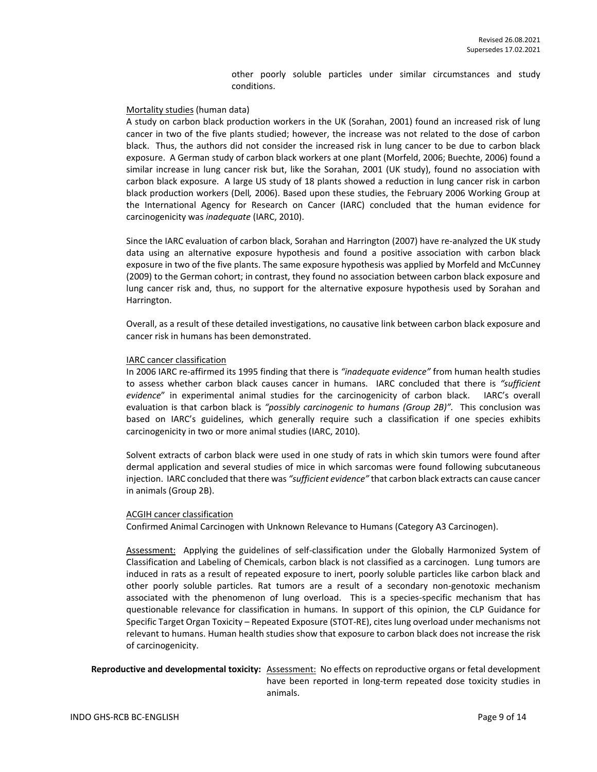other poorly soluble particles under similar circumstances and study conditions.

#### Mortality studies (human data)

A study on carbon black production workers in the UK (Sorahan, 2001) found an increased risk of lung cancer in two of the five plants studied; however, the increase was not related to the dose of carbon black. Thus, the authors did not consider the increased risk in lung cancer to be due to carbon black exposure. A German study of carbon black workers at one plant (Morfeld, 2006; Buechte, 2006) found a similar increase in lung cancer risk but, like the Sorahan, 2001 (UK study), found no association with carbon black exposure. A large US study of 18 plants showed a reduction in lung cancer risk in carbon black production workers (Dell*,* 2006). Based upon these studies, the February 2006 Working Group at the International Agency for Research on Cancer (IARC) concluded that the human evidence for carcinogenicity was *inadequate* (IARC, 2010).

Since the IARC evaluation of carbon black, Sorahan and Harrington (2007) have re-analyzed the UK study data using an alternative exposure hypothesis and found a positive association with carbon black exposure in two of the five plants. The same exposure hypothesis was applied by Morfeld and McCunney (2009) to the German cohort; in contrast, they found no association between carbon black exposure and lung cancer risk and, thus, no support for the alternative exposure hypothesis used by Sorahan and Harrington.

Overall, as a result of these detailed investigations, no causative link between carbon black exposure and cancer risk in humans has been demonstrated.

#### IARC cancer classification

In 2006 IARC re-affirmed its 1995 finding that there is *"inadequate evidence"* from human health studies to assess whether carbon black causes cancer in humans. IARC concluded that there is *"sufficient evidence*" in experimental animal studies for the carcinogenicity of carbon black. IARC's overall evaluation is that carbon black is *"possibly carcinogenic to humans (Group 2B)".* This conclusion was based on IARC's guidelines, which generally require such a classification if one species exhibits carcinogenicity in two or more animal studies (IARC, 2010).

Solvent extracts of carbon black were used in one study of rats in which skin tumors were found after dermal application and several studies of mice in which sarcomas were found following subcutaneous injection. IARC concluded that there was *"sufficient evidence"* that carbon black extracts can cause cancer in animals (Group 2B).

#### ACGIH cancer classification

Confirmed Animal Carcinogen with Unknown Relevance to Humans (Category A3 Carcinogen).

Assessment: Applying the guidelines of self-classification under the Globally Harmonized System of Classification and Labeling of Chemicals, carbon black is not classified as a carcinogen. Lung tumors are induced in rats as a result of repeated exposure to inert, poorly soluble particles like carbon black and other poorly soluble particles. Rat tumors are a result of a secondary non-genotoxic mechanism associated with the phenomenon of lung overload. This is a species-specific mechanism that has questionable relevance for classification in humans. In support of this opinion, the CLP Guidance for Specific Target Organ Toxicity – Repeated Exposure (STOT-RE), cites lung overload under mechanisms not relevant to humans. Human health studies show that exposure to carbon black does not increase the risk of carcinogenicity.

**Reproductive and developmental toxicity:** Assessment: No effects on reproductive organs or fetal development have been reported in long-term repeated dose toxicity studies in animals.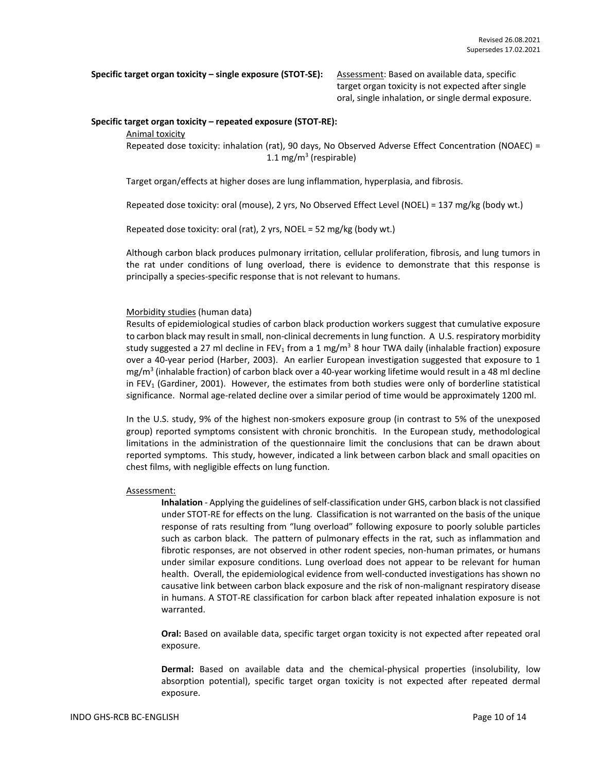**Specific target organ toxicity – single exposure (STOT-SE):** Assessment: Based on available data, specific

target organ toxicity is not expected after single oral, single inhalation, or single dermal exposure.

## **Specific target organ toxicity – repeated exposure (STOT-RE):**

Animal toxicity

Repeated dose toxicity: inhalation (rat), 90 days, No Observed Adverse Effect Concentration (NOAEC) = 1.1 mg/m<sup>3</sup> (respirable)

Target organ/effects at higher doses are lung inflammation, hyperplasia, and fibrosis.

Repeated dose toxicity: oral (mouse), 2 yrs, No Observed Effect Level (NOEL) = 137 mg/kg (body wt.)

Repeated dose toxicity: oral (rat), 2 yrs, NOEL = 52 mg/kg (body wt.)

Although carbon black produces pulmonary irritation, cellular proliferation, fibrosis, and lung tumors in the rat under conditions of lung overload, there is evidence to demonstrate that this response is principally a species-specific response that is not relevant to humans.

# Morbidity studies (human data)

Results of epidemiological studies of carbon black production workers suggest that cumulative exposure to carbon black may result in small, non-clinical decrements in lung function. A U.S. respiratory morbidity study suggested a 27 ml decline in FEV<sub>1</sub> from a 1 mg/m<sup>3</sup> 8 hour TWA daily (inhalable fraction) exposure over a 40-year period (Harber, 2003). An earlier European investigation suggested that exposure to 1 mg/m<sup>3</sup> (inhalable fraction) of carbon black over a 40-year working lifetime would result in a 48 ml decline in FEV<sub>1</sub> (Gardiner, 2001). However, the estimates from both studies were only of borderline statistical significance. Normal age-related decline over a similar period of time would be approximately 1200 ml.

In the U.S. study, 9% of the highest non-smokers exposure group (in contrast to 5% of the unexposed group) reported symptoms consistent with chronic bronchitis. In the European study, methodological limitations in the administration of the questionnaire limit the conclusions that can be drawn about reported symptoms. This study, however, indicated a link between carbon black and small opacities on chest films, with negligible effects on lung function.

### Assessment:

**Inhalation** - Applying the guidelines of self-classification under GHS, carbon black is not classified under STOT-RE for effects on the lung. Classification is not warranted on the basis of the unique response of rats resulting from "lung overload" following exposure to poorly soluble particles such as carbon black. The pattern of pulmonary effects in the rat, such as inflammation and fibrotic responses, are not observed in other rodent species, non-human primates, or humans under similar exposure conditions. Lung overload does not appear to be relevant for human health. Overall, the epidemiological evidence from well-conducted investigations has shown no causative link between carbon black exposure and the risk of non-malignant respiratory disease in humans. A STOT-RE classification for carbon black after repeated inhalation exposure is not warranted.

**Oral:** Based on available data, specific target organ toxicity is not expected after repeated oral exposure.

**Dermal:** Based on available data and the chemical-physical properties (insolubility, low absorption potential), specific target organ toxicity is not expected after repeated dermal exposure.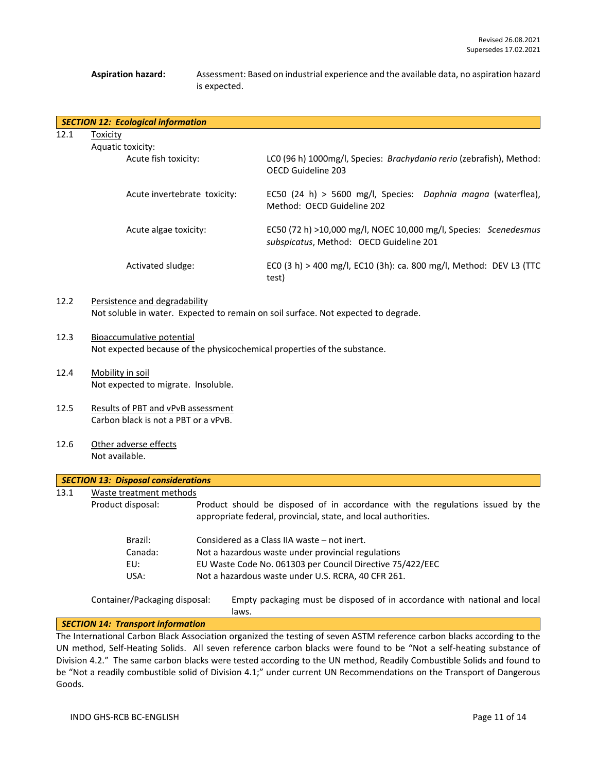# **Aspiration hazard:** Assessment: Based on industrial experience and the available data, no aspiration hazard is expected.

|      | <b>SECTION 12: Ecological information</b> |                                                                                                             |
|------|-------------------------------------------|-------------------------------------------------------------------------------------------------------------|
| 12.1 | Toxicity<br>Aquatic toxicity:             |                                                                                                             |
|      | Acute fish toxicity:                      | LCO (96 h) 1000mg/l, Species: Brachydanio rerio (zebrafish), Method:<br>OFCD Guideline 203                  |
|      | Acute invertebrate toxicity:              | EC50 (24 h) > 5600 mg/l, Species: Daphnia magna (waterflea),<br>Method: OECD Guideline 202                  |
|      | Acute algae toxicity:                     | EC50 (72 h) >10,000 mg/l, NOEC 10,000 mg/l, Species: Scenedesmus<br>subspicatus, Method: OECD Guideline 201 |
|      | Activated sludge:                         | ECO (3 h) > 400 mg/l, EC10 (3h): ca. 800 mg/l, Method: DEV L3 (TTC<br>test)                                 |
| 12.2 | Persistence and degradability             |                                                                                                             |

# Not soluble in water. Expected to remain on soil surface. Not expected to degrade.

- 12.3 Bioaccumulative potential Not expected because of the physicochemical properties of the substance.
- 12.4 Mobility in soil Not expected to migrate. Insoluble.
- 12.5 Results of PBT and vPvB assessment Carbon black is not a PBT or a vPvB.
- 12.6 Other adverse effects Not available.

|      | <b>SECTION 13: Disposal considerations</b> |                                                                                                                                                  |
|------|--------------------------------------------|--------------------------------------------------------------------------------------------------------------------------------------------------|
| 13.1 | Waste treatment methods                    |                                                                                                                                                  |
|      | Product disposal:                          | Product should be disposed of in accordance with the regulations issued by the<br>appropriate federal, provincial, state, and local authorities. |
|      | Brazil:                                    | Considered as a Class IIA waste – not inert.                                                                                                     |
|      | Canada:                                    | Not a hazardous waste under provincial regulations                                                                                               |
|      | EU:                                        | EU Waste Code No. 061303 per Council Directive 75/422/EEC                                                                                        |
|      | USA:                                       | Not a hazardous waste under U.S. RCRA, 40 CFR 261.                                                                                               |
|      | Container/Packaging disposal:              | Empty packaging must be disposed of in accordance with national and local<br>laws.                                                               |
|      | <b>SECTION 14: Transport information</b>   |                                                                                                                                                  |

The International Carbon Black Association organized the testing of seven ASTM reference carbon blacks according to the UN method, Self-Heating Solids. All seven reference carbon blacks were found to be "Not a self-heating substance of Division 4.2." The same carbon blacks were tested according to the UN method, Readily Combustible Solids and found to be "Not a readily combustible solid of Division 4.1;" under current UN Recommendations on the Transport of Dangerous Goods.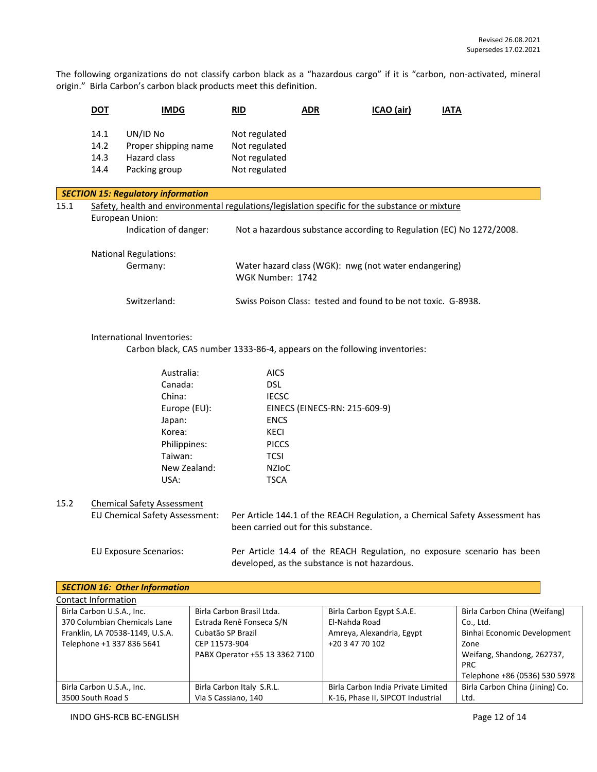The following organizations do not classify carbon black as a "hazardous cargo" if it is "carbon, non-activated, mineral origin." Birla Carbon's carbon black products meet this definition.

|                                               | <b>DOT</b>                   | <b>IMDG</b>                                                                                    |                                                                         | <b>RID</b>                                                                | <b>ADR</b> |                               | ICAO (air)                                                    | <b>IATA</b> |                                                                             |
|-----------------------------------------------|------------------------------|------------------------------------------------------------------------------------------------|-------------------------------------------------------------------------|---------------------------------------------------------------------------|------------|-------------------------------|---------------------------------------------------------------|-------------|-----------------------------------------------------------------------------|
|                                               | 14.1<br>14.2<br>14.3<br>14.4 | UN/ID No<br>Proper shipping name<br>Hazard class<br>Packing group                              |                                                                         | Not regulated<br>Not regulated<br>Not regulated<br>Not regulated          |            |                               |                                                               |             |                                                                             |
|                                               |                              | <b>SECTION 15: Regulatory information</b>                                                      |                                                                         |                                                                           |            |                               |                                                               |             |                                                                             |
| 15.1                                          |                              | Safety, health and environmental regulations/legislation specific for the substance or mixture |                                                                         |                                                                           |            |                               |                                                               |             |                                                                             |
|                                               |                              | European Union:                                                                                |                                                                         |                                                                           |            |                               |                                                               |             |                                                                             |
|                                               |                              | Indication of danger:                                                                          |                                                                         |                                                                           |            |                               |                                                               |             | Not a hazardous substance according to Regulation (EC) No 1272/2008.        |
|                                               |                              |                                                                                                |                                                                         |                                                                           |            |                               |                                                               |             |                                                                             |
|                                               |                              | <b>National Regulations:</b>                                                                   |                                                                         |                                                                           |            |                               |                                                               |             |                                                                             |
|                                               |                              | Germany:                                                                                       |                                                                         | WGK Number: 1742                                                          |            |                               | Water hazard class (WGK): nwg (not water endangering)         |             |                                                                             |
|                                               |                              |                                                                                                |                                                                         |                                                                           |            |                               |                                                               |             |                                                                             |
|                                               |                              | Switzerland:                                                                                   |                                                                         |                                                                           |            |                               | Swiss Poison Class: tested and found to be not toxic. G-8938. |             |                                                                             |
|                                               |                              |                                                                                                |                                                                         |                                                                           |            |                               |                                                               |             |                                                                             |
|                                               |                              | International Inventories:                                                                     |                                                                         |                                                                           |            |                               |                                                               |             |                                                                             |
|                                               |                              |                                                                                                |                                                                         | Carbon black, CAS number 1333-86-4, appears on the following inventories: |            |                               |                                                               |             |                                                                             |
|                                               |                              | Australia:                                                                                     |                                                                         | <b>AICS</b>                                                               |            |                               |                                                               |             |                                                                             |
|                                               |                              | Canada:                                                                                        |                                                                         | <b>DSL</b>                                                                |            |                               |                                                               |             |                                                                             |
|                                               |                              | China:                                                                                         |                                                                         | <b>IECSC</b>                                                              |            |                               |                                                               |             |                                                                             |
|                                               |                              | Europe (EU):                                                                                   |                                                                         |                                                                           |            | EINECS (EINECS-RN: 215-609-9) |                                                               |             |                                                                             |
|                                               |                              | Japan:                                                                                         |                                                                         | <b>ENCS</b>                                                               |            |                               |                                                               |             |                                                                             |
|                                               |                              | Korea:                                                                                         |                                                                         | KECI                                                                      |            |                               |                                                               |             |                                                                             |
|                                               |                              | Philippines:                                                                                   |                                                                         | <b>PICCS</b>                                                              |            |                               |                                                               |             |                                                                             |
|                                               |                              | Taiwan:                                                                                        |                                                                         | <b>TCSI</b>                                                               |            |                               |                                                               |             |                                                                             |
|                                               |                              | New Zealand:                                                                                   |                                                                         | <b>NZIOC</b>                                                              |            |                               |                                                               |             |                                                                             |
|                                               |                              | USA:                                                                                           |                                                                         | <b>TSCA</b>                                                               |            |                               |                                                               |             |                                                                             |
| 15.2                                          |                              | <b>Chemical Safety Assessment</b>                                                              |                                                                         |                                                                           |            |                               |                                                               |             |                                                                             |
|                                               |                              | EU Chemical Safety Assessment:                                                                 |                                                                         |                                                                           |            |                               |                                                               |             | Per Article 144.1 of the REACH Regulation, a Chemical Safety Assessment has |
|                                               |                              |                                                                                                |                                                                         | been carried out for this substance.                                      |            |                               |                                                               |             |                                                                             |
|                                               |                              |                                                                                                |                                                                         |                                                                           |            |                               |                                                               |             |                                                                             |
|                                               |                              | <b>EU Exposure Scenarios:</b>                                                                  | Per Article 14.4 of the REACH Regulation, no exposure scenario has been |                                                                           |            |                               |                                                               |             |                                                                             |
| developed, as the substance is not hazardous. |                              |                                                                                                |                                                                         |                                                                           |            |                               |                                                               |             |                                                                             |
|                                               |                              | <b>SECTION 16: Other Information</b>                                                           |                                                                         |                                                                           |            |                               |                                                               |             |                                                                             |
|                                               | <b>Contact Information</b>   |                                                                                                |                                                                         |                                                                           |            |                               |                                                               |             |                                                                             |
|                                               | Birla Carbon U.S.A., Inc.    | 270 Calumbian Chamicale Lane                                                                   |                                                                         | Birla Carbon Brasil Ltda.<br>$Ltrada Don \hat{L}once C/N$                 |            | El Melcale Denal              | Birla Carbon Egypt S.A.E.                                     |             | Birla Carbon China (Weifang)<br>أأمط                                        |

| 370 Columbian Chemicals Lane    | Estrada Renê Fonseca S/N       | El-Nahda Road                      | Co., Ltd.                       |
|---------------------------------|--------------------------------|------------------------------------|---------------------------------|
| Franklin, LA 70538-1149, U.S.A. | Cubatão SP Brazil              | Amreya, Alexandria, Egypt          | Binhai Economic Development     |
| Telephone +1 337 836 5641       | CEP 11573-904                  | +20 3 47 70 102                    | Zone                            |
|                                 | PABX Operator +55 13 3362 7100 |                                    | Weifang, Shandong, 262737,      |
|                                 |                                |                                    | <b>PRC</b>                      |
|                                 |                                |                                    | Telephone +86 (0536) 530 5978   |
| Birla Carbon U.S.A., Inc.       | Birla Carbon Italy S.R.L.      | Birla Carbon India Private Limited | Birla Carbon China (Jining) Co. |
| 3500 South Road S               | Via S Cassiano, 140            | K-16, Phase II, SIPCOT Industrial  | Ltd.                            |
|                                 |                                |                                    |                                 |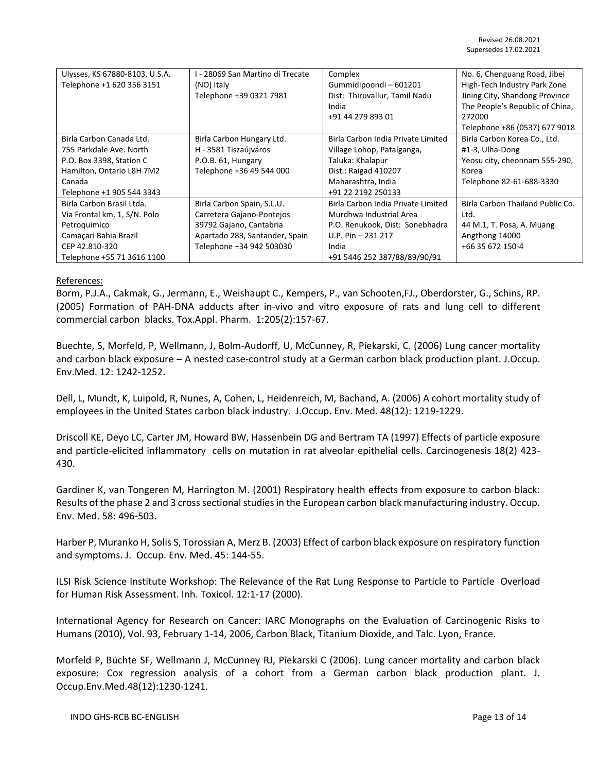| Ulysses, KS 67880-8103, U.S.A. | I - 28069 San Martino di Trecate | Complex                            | No. 6, Chenguang Road, Jibei     |
|--------------------------------|----------------------------------|------------------------------------|----------------------------------|
| Telephone +1 620 356 3151      | (NO) Italy                       | Gummidipoondi-601201               | High-Tech Industry Park Zone     |
|                                | Telephone +39 0321 7981          | Dist: Thiruvallur, Tamil Nadu      | Jining City, Shandong Province   |
|                                |                                  | India                              | The People's Republic of China,  |
|                                |                                  | +91 44 279 893 01                  | 272000                           |
|                                |                                  |                                    | Telephone +86 (0537) 677 9018    |
| Birla Carbon Canada Ltd.       | Birla Carbon Hungary Ltd.        | Birla Carbon India Private Limited | Birla Carbon Korea Co., Ltd.     |
| 755 Parkdale Ave. North        | H - 3581 Tiszaújváros            | Village Lohop, Patalganga,         | #1-3, Ulha-Dong                  |
| P.O. Box 3398, Station C       | P.O.B. 61, Hungary               | Taluka: Khalapur                   | Yeosu city, cheonnam 555-290,    |
| Hamilton, Ontario L8H 7M2      | Telephone +36 49 544 000         | Dist.: Raigad 410207               | Korea                            |
| Canada                         |                                  | Maharashtra, India                 | Telephone 82-61-688-3330         |
| Telephone +1 905 544 3343      |                                  | +91 22 2192 250133                 |                                  |
| Birla Carbon Brasil Ltda.      | Birla Carbon Spain, S.L.U.       | Birla Carbon India Private Limited | Birla Carbon Thailand Public Co. |
| Via Frontal km, 1, S/N. Polo   | Carretera Gajano-Pontejos        | Murdhwa Industrial Area            | Ltd.                             |
| Petroguimico                   | 39792 Gajano, Cantabria          | P.O. Renukook, Dist: Sonebhadra    | 44 M.1, T. Posa, A. Muang        |
| Camaçari Bahia Brazil          | Apartado 283, Santander, Spain   | $U.P. Pin - 231 217$               | Angthong 14000                   |
| CEP 42.810-320                 | Telephone +34 942 503030         | India                              | +66 35 672 150-4                 |
| Telephone +55 71 3616 1100     |                                  | +91 5446 252 387/88/89/90/91       |                                  |

# References:

Borm, P.J.A., Cakmak, G., Jermann, E., Weishaupt C., Kempers, P., van Schooten,FJ., Oberdorster, G., Schins, RP. (2005) Formation of PAH-DNA adducts after in-vivo and vitro exposure of rats and lung cell to different commercial carbon blacks. Tox.Appl. Pharm. 1:205(2):157-67.

Buechte, S, Morfeld, P, Wellmann, J, Bolm-Audorff, U, McCunney, R, Piekarski, C. (2006) Lung cancer mortality and carbon black exposure – A nested case-control study at a German carbon black production plant. J.Occup. Env.Med. 12: 1242-1252.

Dell, L, Mundt, K, Luipold, R, Nunes, A, Cohen, L, Heidenreich, M, Bachand, A. (2006) A cohort mortality study of employees in the United States carbon black industry. J.Occup. Env. Med. 48(12): 1219-1229.

Driscoll KE, Deyo LC, Carter JM, Howard BW, Hassenbein DG and Bertram TA (1997) Effects of particle exposure and particle-elicited inflammatory cells on mutation in rat alveolar epithelial cells. Carcinogenesis 18(2) 423- 430.

Gardiner K, van Tongeren M, Harrington M. (2001) Respiratory health effects from exposure to carbon black: Results of the phase 2 and 3 cross sectional studies in the European carbon black manufacturing industry. Occup. Env. Med. 58: 496-503.

Harber P, Muranko H, Solis S, Torossian A, Merz B. (2003) Effect of carbon black exposure on respiratory function and symptoms. J. Occup. Env. Med. 45: 144-55.

ILSI Risk Science Institute Workshop: The Relevance of the Rat Lung Response to Particle to Particle Overload for Human Risk Assessment. Inh. Toxicol. 12:1-17 (2000).

International Agency for Research on Cancer: IARC Monographs on the Evaluation of Carcinogenic Risks to Humans (2010), Vol. 93, February 1-14, 2006, Carbon Black, Titanium Dioxide, and Talc. Lyon, France.

Morfeld P, Büchte SF, Wellmann J, McCunney RJ, Piekarski C (2006). Lung cancer mortality and carbon black exposure: Cox regression analysis of a cohort from a German carbon black production plant. J. Occup.Env.Med.48(12):1230-1241.